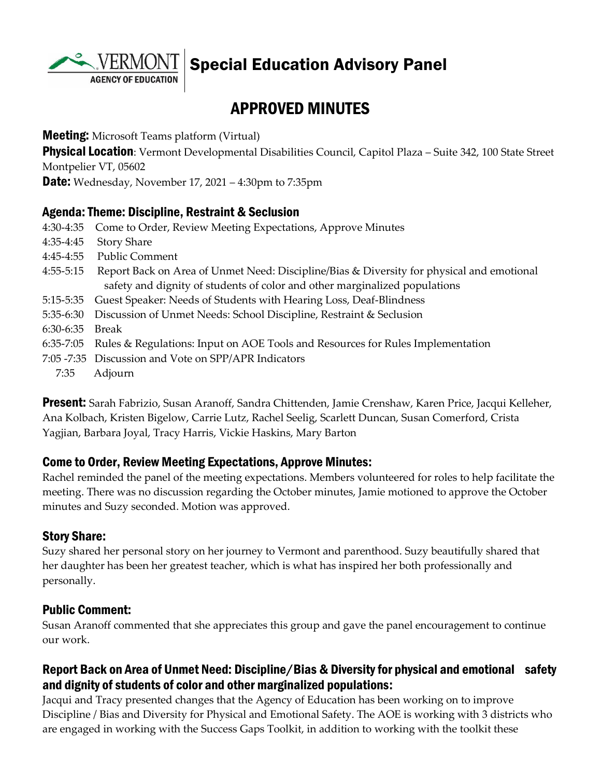

Special Education Advisory Panel

# APPROVED MINUTES

**Meeting:** Microsoft Teams platform (Virtual)

**Physical Location**: Vermont Developmental Disabilities Council, Capitol Plaza – Suite 342, 100 State Street Montpelier VT, 05602

**Date:** Wednesday, November 17, 2021 – 4:30pm to 7:35pm

#### Agenda: Theme: Discipline, Restraint & Seclusion

| 4:30-4:35     | Come to Order, Review Meeting Expectations, Approve Minutes                               |
|---------------|-------------------------------------------------------------------------------------------|
| $4:35-4:45$   | <b>Story Share</b>                                                                        |
| $4:45-4:55$   | <b>Public Comment</b>                                                                     |
| $4:55-5:15$   | Report Back on Area of Unmet Need: Discipline/Bias & Diversity for physical and emotional |
|               | safety and dignity of students of color and other marginalized populations                |
| 5:15-5:35     | Guest Speaker: Needs of Students with Hearing Loss, Deaf-Blindness                        |
| $5:35-6:30$   | Discussion of Unmet Needs: School Discipline, Restraint & Seclusion                       |
| 6:30-6:35     | Break                                                                                     |
| $6:35 - 7:05$ | Rules & Regulations: Input on AOE Tools and Resources for Rules Implementation            |
|               | 7:05 -7:35 Discussion and Vote on SPP/APR Indicators                                      |
| 7:35          | Adjourn                                                                                   |
|               |                                                                                           |

Present: Sarah Fabrizio, Susan Aranoff, Sandra Chittenden, Jamie Crenshaw, Karen Price, Jacqui Kelleher, Ana Kolbach, Kristen Bigelow, Carrie Lutz, Rachel Seelig, Scarlett Duncan, Susan Comerford, Crista Yagjian, Barbara Joyal, Tracy Harris, Vickie Haskins, Mary Barton

#### Come to Order, Review Meeting Expectations, Approve Minutes:

Rachel reminded the panel of the meeting expectations. Members volunteered for roles to help facilitate the meeting. There was no discussion regarding the October minutes, Jamie motioned to approve the October minutes and Suzy seconded. Motion was approved.

#### Story Share:

Suzy shared her personal story on her journey to Vermont and parenthood. Suzy beautifully shared that her daughter has been her greatest teacher, which is what has inspired her both professionally and personally.

#### Public Comment:

Susan Aranoff commented that she appreciates this group and gave the panel encouragement to continue our work.

#### Report Back on Area of Unmet Need: Discipline/Bias & Diversity for physical and emotional safety and dignity of students of color and other marginalized populations:

Jacqui and Tracy presented changes that the Agency of Education has been working on to improve Discipline / Bias and Diversity for Physical and Emotional Safety. The AOE is working with 3 districts who are engaged in working with the Success Gaps Toolkit, in addition to working with the toolkit these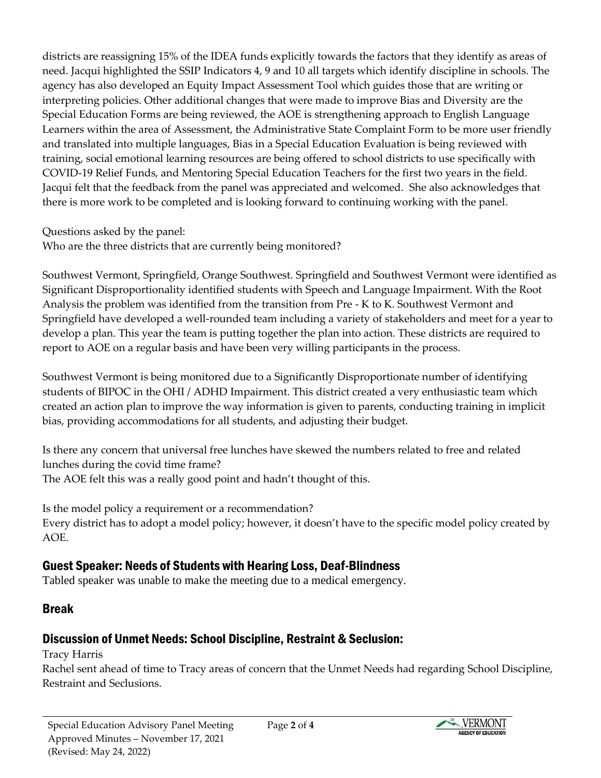districts are reassigning 15% of the IDEA funds explicitly towards the factors that they identify as areas of need. Jacqui highlighted the SSIP Indicators 4, 9 and 10 all targets which identify discipline in schools. The agency has also developed an Equity Impact Assessment Tool which guides those that are writing or interpreting policies. Other additional changes that were made to improve Bias and Diversity are the Special Education Forms are being reviewed, the AOE is strengthening approach to English Language Learners within the area of Assessment, the Administrative State Complaint Form to be more user friendly and translated into multiple languages, Bias in a Special Education Evaluation is being reviewed with training, social emotional learning resources are being offered to school districts to use specifically with COVID-19 Relief Funds, and Mentoring Special Education Teachers for the first two years in the field. Jacqui felt that the feedback from the panel was appreciated and welcomed. She also acknowledges that there is more work to be completed and is looking forward to continuing working with the panel.

Questions asked by the panel:

Who are the three districts that are currently being monitored?

Southwest Vermont, Springfield, Orange Southwest. Springfield and Southwest Vermont were identified as Significant Disproportionality identified students with Speech and Language Impairment. With the Root Analysis the problem was identified from the transition from Pre - K to K. Southwest Vermont and Springfield have developed a well-rounded team including a variety of stakeholders and meet for a year to develop a plan. This year the team is putting together the plan into action. These districts are required to report to AOE on a regular basis and have been very willing participants in the process.

Southwest Vermont is being monitored due to a Significantly Disproportionate number of identifying students of BIPOC in the OHI / ADHD Impairment. This district created a very enthusiastic team which created an action plan to improve the way information is given to parents, conducting training in implicit bias, providing accommodations for all students, and adjusting their budget.

Is there any concern that universal free lunches have skewed the numbers related to free and related lunches during the covid time frame?

The AOE felt this was a really good point and hadn't thought of this.

Is the model policy a requirement or a recommendation? Every district has to adopt a model policy; however, it doesn't have to the specific model policy created by AOE.

### Guest Speaker: Needs of Students with Hearing Loss, Deaf-Blindness

Tabled speaker was unable to make the meeting due to a medical emergency.

### Break

# Discussion of Unmet Needs: School Discipline, Restraint & Seclusion:

Tracy Harris

Rachel sent ahead of time to Tracy areas of concern that the Unmet Needs had regarding School Discipline, Restraint and Seclusions.

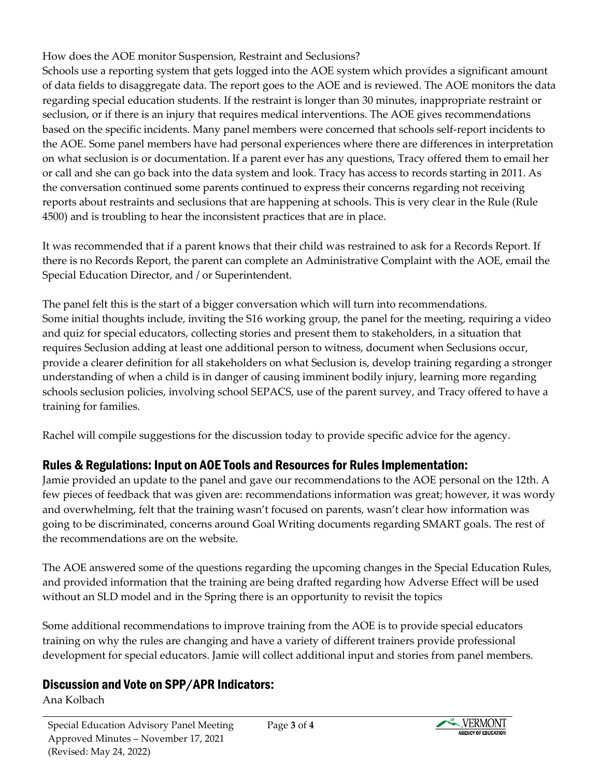How does the AOE monitor Suspension, Restraint and Seclusions?

Schools use a reporting system that gets logged into the AOE system which provides a significant amount of data fields to disaggregate data. The report goes to the AOE and is reviewed. The AOE monitors the data regarding special education students. If the restraint is longer than 30 minutes, inappropriate restraint or seclusion, or if there is an injury that requires medical interventions. The AOE gives recommendations based on the specific incidents. Many panel members were concerned that schools self-report incidents to the AOE. Some panel members have had personal experiences where there are differences in interpretation on what seclusion is or documentation. If a parent ever has any questions, Tracy offered them to email her or call and she can go back into the data system and look. Tracy has access to records starting in 2011. As the conversation continued some parents continued to express their concerns regarding not receiving reports about restraints and seclusions that are happening at schools. This is very clear in the Rule (Rule 4500) and is troubling to hear the inconsistent practices that are in place.

It was recommended that if a parent knows that their child was restrained to ask for a Records Report. If there is no Records Report, the parent can complete an Administrative Complaint with the AOE, email the Special Education Director, and / or Superintendent.

The panel felt this is the start of a bigger conversation which will turn into recommendations. Some initial thoughts include, inviting the S16 working group, the panel for the meeting, requiring a video and quiz for special educators, collecting stories and present them to stakeholders, in a situation that requires Seclusion adding at least one additional person to witness, document when Seclusions occur, provide a clearer definition for all stakeholders on what Seclusion is, develop training regarding a stronger understanding of when a child is in danger of causing imminent bodily injury, learning more regarding schools seclusion policies, involving school SEPACS, use of the parent survey, and Tracy offered to have a training for families.

Rachel will compile suggestions for the discussion today to provide specific advice for the agency.

# Rules & Regulations: Input on AOE Tools and Resources for Rules Implementation:

Jamie provided an update to the panel and gave our recommendations to the AOE personal on the 12th. A few pieces of feedback that was given are: recommendations information was great; however, it was wordy and overwhelming, felt that the training wasn't focused on parents, wasn't clear how information was going to be discriminated, concerns around Goal Writing documents regarding SMART goals. The rest of the recommendations are on the website.

The AOE answered some of the questions regarding the upcoming changes in the Special Education Rules, and provided information that the training are being drafted regarding how Adverse Effect will be used without an SLD model and in the Spring there is an opportunity to revisit the topics

Some additional recommendations to improve training from the AOE is to provide special educators training on why the rules are changing and have a variety of different trainers provide professional development for special educators. Jamie will collect additional input and stories from panel members.

# Discussion and Vote on SPP/APR Indicators:

Ana Kolbach